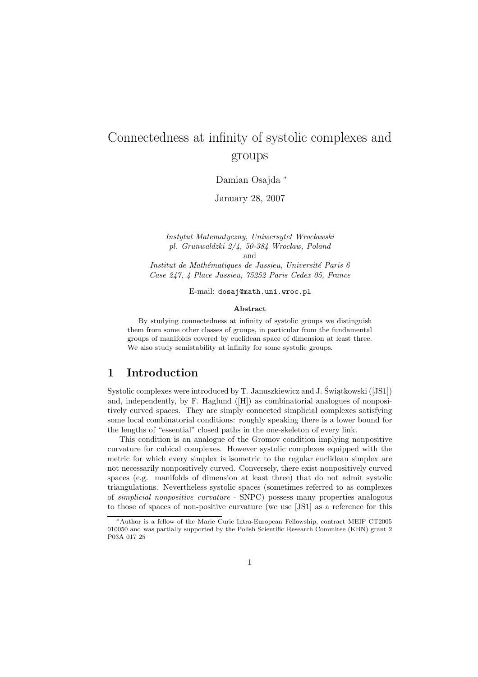# Connectedness at infinity of systolic complexes and groups

Damian Osajda <sup>∗</sup>

January 28, 2007

Instytut Matematyczny, Uniwersytet Wrocławski pl. Grunwaldzki  $2/4$ , 50-384 Wrocław, Poland and

Institut de Mathématiques de Jussieu, Université Paris 6 Case 247, 4 Place Jussieu, 75252 Paris Cedex 05, France

E-mail: dosaj@math.uni.wroc.pl

#### Abstract

By studying connectedness at infinity of systolic groups we distinguish them from some other classes of groups, in particular from the fundamental groups of manifolds covered by euclidean space of dimension at least three. We also study semistability at infinity for some systolic groups.

### 1 Introduction

Systolic complexes were introduced by  $T$ . Januszkiewicz and J. Świątkowski ([JS1]) and, independently, by F. Haglund ([H]) as combinatorial analogues of nonpositively curved spaces. They are simply connected simplicial complexes satisfying some local combinatorial conditions: roughly speaking there is a lower bound for the lengths of "essential" closed paths in the one-skeleton of every link.

This condition is an analogue of the Gromov condition implying nonpositive curvature for cubical complexes. However systolic complexes equipped with the metric for which every simplex is isometric to the regular euclidean simplex are not necessarily nonpositively curved. Conversely, there exist nonpositively curved spaces (e.g. manifolds of dimension at least three) that do not admit systolic triangulations. Nevertheless systolic spaces (sometimes referred to as complexes of simplicial nonpositive curvature - SNPC) possess many properties analogous to those of spaces of non-positive curvature (we use [JS1] as a reference for this

<sup>∗</sup>Author is a fellow of the Marie Curie Intra-European Fellowship, contract MEIF CT2005 010050 and was partially supported by the Polish Scientific Research Commitee (KBN) grant 2 P03A 017 25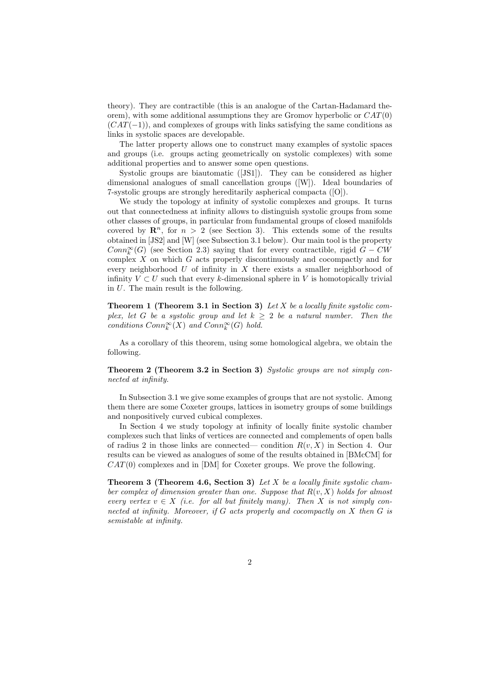theory). They are contractible (this is an analogue of the Cartan-Hadamard theorem), with some additional assumptions they are Gromov hyperbolic or  $CAT(0)$  $(CAT(-1))$ , and complexes of groups with links satisfying the same conditions as links in systolic spaces are developable.

The latter property allows one to construct many examples of systolic spaces and groups (i.e. groups acting geometrically on systolic complexes) with some additional properties and to answer some open questions.

Systolic groups are biautomatic ([JS1]). They can be considered as higher dimensional analogues of small cancellation groups ([W]). Ideal boundaries of 7-systolic groups are strongly hereditarily aspherical compacta ([O]).

We study the topology at infinity of systolic complexes and groups. It turns out that connectedness at infinity allows to distinguish systolic groups from some other classes of groups, in particular from fundamental groups of closed manifolds covered by  $\mathbb{R}^n$ , for  $n > 2$  (see Section 3). This extends some of the results obtained in [JS2] and [W] (see Subsection 3.1 below). Our main tool is the property  $Conn_k^{\infty}(G)$  (see Section 2.3) saying that for every contractible, rigid  $G-CW$ complex X on which G acts properly discontinuously and cocompactly and for every neighborhood  $U$  of infinity in  $X$  there exists a smaller neighborhood of infinity  $V \subset U$  such that every k-dimensional sphere in V is homotopically trivial in U. The main result is the following.

**Theorem 1 (Theorem 3.1 in Section 3)** Let X be a locally finite systolic complex, let G be a systolic group and let  $k \geq 2$  be a natural number. Then the conditions  $Conn_{k}^{\infty}(X)$  and  $Conn_{k}^{\infty}(G)$  hold.

As a corollary of this theorem, using some homological algebra, we obtain the following.

Theorem 2 (Theorem 3.2 in Section 3) Systolic groups are not simply connected at infinity.

In Subsection 3.1 we give some examples of groups that are not systolic. Among them there are some Coxeter groups, lattices in isometry groups of some buildings and nonpositively curved cubical complexes.

In Section 4 we study topology at infinity of locally finite systolic chamber complexes such that links of vertices are connected and complements of open balls of radius 2 in those links are connected— condition  $R(v, X)$  in Section 4. Our results can be viewed as analogues of some of the results obtained in [BMcCM] for  $CAT(0)$  complexes and in [DM] for Coxeter groups. We prove the following.

**Theorem 3 (Theorem 4.6, Section 3)** Let X be a locally finite systolic chamber complex of dimension greater than one. Suppose that  $R(v, X)$  holds for almost every vertex  $v \in X$  (i.e. for all but finitely many). Then X is not simply connected at infinity. Moreover, if  $G$  acts properly and cocompactly on  $X$  then  $G$  is semistable at infinity.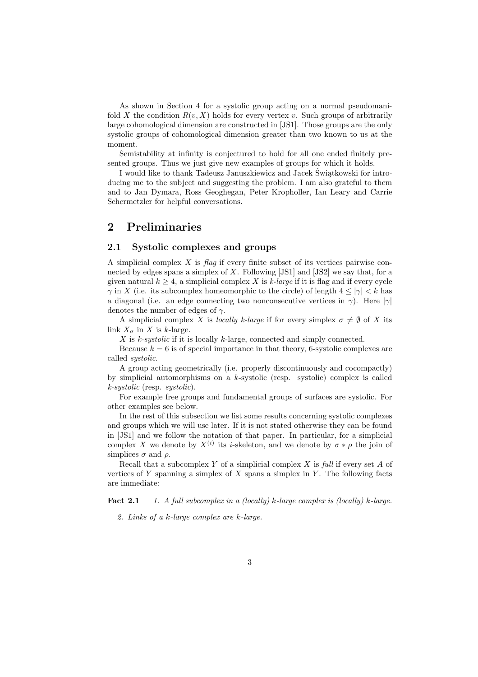As shown in Section 4 for a systolic group acting on a normal pseudomanifold X the condition  $R(v, X)$  holds for every vertex v. Such groups of arbitrarily large cohomological dimension are constructed in [JS1]. Those groups are the only systolic groups of cohomological dimension greater than two known to us at the moment.

Semistability at infinity is conjectured to hold for all one ended finitely presented groups. Thus we just give new examples of groups for which it holds.

I would like to thank Tadeusz Januszkiewicz and Jacek Świątkowski for introducing me to the subject and suggesting the problem. I am also grateful to them and to Jan Dymara, Ross Geoghegan, Peter Kropholler, Ian Leary and Carrie Schermetzler for helpful conversations.

# 2 Preliminaries

#### 2.1 Systolic complexes and groups

A simplicial complex  $X$  is flag if every finite subset of its vertices pairwise connected by edges spans a simplex of X. Following  $[JS1]$  and  $[JS2]$  we say that, for a given natural  $k > 4$ , a simplicial complex X is k-large if it is flag and if every cycle  $\gamma$  in X (i.e. its subcomplex homeomorphic to the circle) of length  $4 \le |\gamma| \le k$  has a diagonal (i.e. an edge connecting two nonconsecutive vertices in  $\gamma$ ). Here  $|\gamma|$ denotes the number of edges of  $\gamma$ .

A simplicial complex X is locally k-large if for every simplex  $\sigma \neq \emptyset$  of X its link  $X_{\sigma}$  in X is k-large.

X is k-systolic if it is locally k-large, connected and simply connected.

Because  $k = 6$  is of special importance in that theory, 6-systolic complexes are called systolic.

A group acting geometrically (i.e. properly discontinuously and cocompactly) by simplicial automorphisms on a  $k$ -systolic (resp. systolic) complex is called k-systolic (resp. systolic).

For example free groups and fundamental groups of surfaces are systolic. For other examples see below.

In the rest of this subsection we list some results concerning systolic complexes and groups which we will use later. If it is not stated otherwise they can be found in [JS1] and we follow the notation of that paper. In particular, for a simplicial complex X we denote by  $X^{(i)}$  its *i*-skeleton, and we denote by  $\sigma * \rho$  the join of simplices  $\sigma$  and  $\rho$ .

Recall that a subcomplex Y of a simplicial complex X is full if every set A of vertices of Y spanning a simplex of X spans a simplex in Y. The following facts are immediate:

**Fact 2.1** 1. A full subcomplex in a (locally) k-large complex is (locally) k-large.

2. Links of a k-large complex are k-large.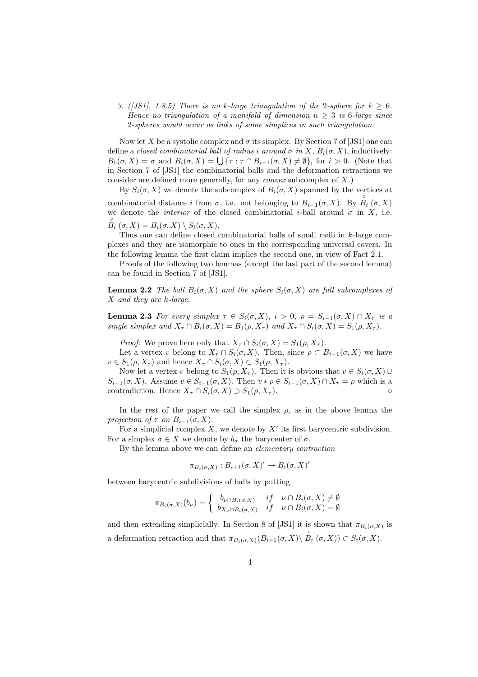#### 3. ([JS1], 1.8.5) There is no k-large triangulation of the 2-sphere for  $k \geq 6$ . Hence no triangulation of a manifold of dimension  $n \geq 3$  is 6-large since 2-spheres would occur as links of some simplices in such triangulation.

Now let X be a systolic complex and  $\sigma$  its simplex. By Section 7 of [JS1] one can define a closed combinatorial ball of radius i around  $\sigma$  in X,  $B_i(\sigma, X)$ , inductively:  $B_0(\sigma, X) = \sigma$  and  $B_i(\sigma, X) = \bigcup \{\tau : \tau \cap B_{i-1}(\sigma, X) \neq \emptyset\}$ , for  $i > 0$ . (Note that in Section 7 of [JS1] the combinatorial balls and the deformation retractions we consider are defined more generally, for any *convex* subcomplex of  $X$ .)

By  $S_i(\sigma, X)$  we denote the subcomplex of  $B_i(\sigma, X)$  spanned by the vertices at combinatorial distance i from  $\sigma$ , i.e. not belonging to  $B_{i-1}(\sigma, X)$ . By  $\overset{\circ}{B}_{i}(\sigma, X)$ we denote the *interior* of the closed combinatorial *i*-ball around  $\sigma$  in X, i.e.  $B_i^{\circ}(\sigma, X) = B_i(\sigma, X) \setminus S_i(\sigma, X).$ 

Thus one can define closed combinatorial balls of small radii in k-large complexes and they are isomorphic to ones in the corresponding universal covers. In the following lemma the first claim implies the second one, in view of Fact 2.1.

Proofs of the following two lemmas (except the last part of the second lemma) can be found in Section 7 of [JS1].

**Lemma 2.2** The ball  $B_i(\sigma, X)$  and the sphere  $S_i(\sigma, X)$  are full subcomplexes of X and they are k-large.

**Lemma 2.3** For every simplex  $\tau \in S_i(\sigma, X)$ ,  $i > 0$ ,  $\rho = S_{i-1}(\sigma, X) \cap X_{\tau}$  is a single simplex and  $X_{\tau} \cap B_i(\sigma, X) = B_1(\rho, X_{\tau})$  and  $X_{\tau} \cap S_i(\sigma, X) = S_1(\rho, X_{\tau})$ .

*Proof:* We prove here only that  $X_{\tau} \cap S_i(\sigma, X) = S_1(\rho, X_{\tau}).$ 

Let a vertex v belong to  $X_{\tau} \cap S_i(\sigma, X)$ . Then, since  $\rho \subset B_{i-1}(\sigma, X)$  we have  $v \in S_1(\rho, X_\tau)$  and hence  $X_\tau \cap S_i(\sigma, X) \subset S_1(\rho, X_\tau)$ .

Now let a vertex v belong to  $S_1(\rho, X_\tau)$ . Then it is obvious that  $v \in S_i(\sigma, X) \cup$  $S_{i-1}(\sigma, X)$ . Assume  $v \in S_{i-1}(\sigma, X)$ . Then  $v * \rho \in S_{i-1}(\sigma, X) \cap X_{\tau} = \rho$  which is a contradiction. Hence X<sup>τ</sup> ∩ Si(σ, X) ⊃ S1(ρ, X<sup>τ</sup> ). ⋄

In the rest of the paper we call the simplex  $\rho$ , as in the above lemma the projection of  $\tau$  on  $B_{i-1}(\sigma, X)$ .

For a simplicial complex  $X$ , we denote by  $X'$  its first barycentric subdivision. For a simplex  $\sigma \in X$  we denote by  $b_{\sigma}$  the barycenter of  $\sigma$ .

By the lemma above we can define an elementary contraction

$$
\pi_{B_i(\sigma,X)}: B_{i+1}(\sigma,X)' \to B_i(\sigma,X)'
$$

between barycentric subdivisions of balls by putting

$$
\pi_{B_i(\sigma, X)}(b_{\nu}) = \begin{cases} b_{\nu \cap B_i(\sigma, X)} & \text{if } \nu \cap B_i(\sigma, X) \neq \emptyset \\ b_{X_{\nu} \cap B_i(\sigma, X)} & \text{if } \nu \cap B_i(\sigma, X) = \emptyset \end{cases}
$$

and then extending simplicially. In Section 8 of [JS1] it is shown that  $\pi_{B_i(\sigma,X)}$  is a deformation retraction and that  $\pi_{B_i(\sigma,X)}(B_{i+1}(\sigma,X)\setminus \overset{\circ}{B_i}(\sigma,X)) \subset S_i(\sigma,X)$ .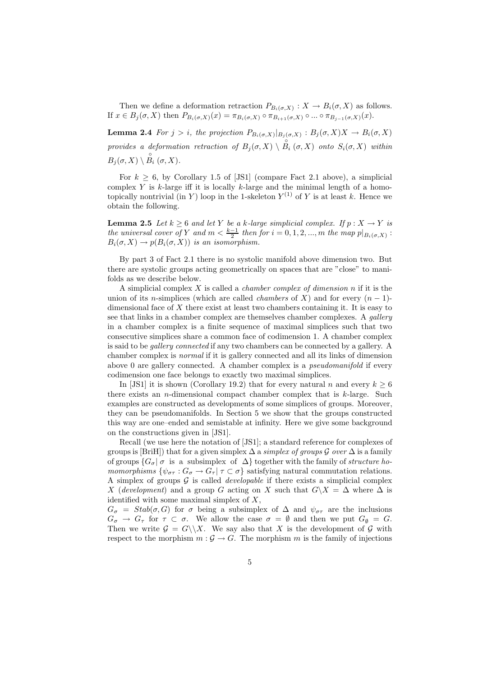Then we define a deformation retraction  $P_{B_i(\sigma,X)}: X \to B_i(\sigma,X)$  as follows. If  $x \in B_j(\sigma, X)$  then  $P_{B_i(\sigma, X)}(x) = \pi_{B_i(\sigma, X)} \circ \pi_{B_{i+1}(\sigma, X)} \circ \dots \circ \pi_{B_{j-1}(\sigma, X)}(x)$ .

**Lemma 2.4** For  $j > i$ , the projection  $P_{B_i(\sigma,X)}|_{B_j(\sigma,X)} : B_j(\sigma,X)X \to B_i(\sigma,X)$ provides a deformation retraction of  $B_j(\sigma, X) \setminus \overset{\circ}{B_i}(\sigma, X)$  onto  $S_i(\sigma, X)$  within  $B_j(\sigma, X) \setminus \overset{\circ}{B_i}(\sigma, X).$ 

For  $k > 6$ , by Corollary 1.5 of [JS1] (compare Fact 2.1 above), a simplicial complex Y is  $k$ -large iff it is locally  $k$ -large and the minimal length of a homotopically nontrivial (in Y) loop in the 1-skeleton  $Y^{(1)}$  of Y is at least k. Hence we obtain the following.

**Lemma 2.5** Let  $k \geq 6$  and let Y be a k-large simplicial complex. If  $p : X \to Y$  is the universal cover of Y and  $m < \frac{k-1}{2}$  then for  $i = 0, 1, 2, ..., m$  the map  $p|_{B_i(\sigma, X)}$ :  $B_i(\sigma, X) \to p(B_i(\sigma, X))$  is an isomorphism.

By part 3 of Fact 2.1 there is no systolic manifold above dimension two. But there are systolic groups acting geometrically on spaces that are "close" to manifolds as we describe below.

A simplicial complex X is called a *chamber complex of dimension n* if it is the union of its n-simplices (which are called *chambers* of X) and for every  $(n - 1)$ dimensional face of  $X$  there exist at least two chambers containing it. It is easy to see that links in a chamber complex are themselves chamber complexes. A gallery in a chamber complex is a finite sequence of maximal simplices such that two consecutive simplices share a common face of codimension 1. A chamber complex is said to be gallery connected if any two chambers can be connected by a gallery. A chamber complex is normal if it is gallery connected and all its links of dimension above 0 are gallery connected. A chamber complex is a pseudomanifold if every codimension one face belongs to exactly two maximal simplices.

In [JS1] it is shown (Corollary 19.2) that for every natural n and every  $k \geq 6$ there exists an *n*-dimensional compact chamber complex that is  $k$ -large. Such examples are constructed as developments of some simplices of groups. Moreover, they can be pseudomanifolds. In Section 5 we show that the groups constructed this way are one–ended and semistable at infinity. Here we give some background on the constructions given in [JS1].

Recall (we use here the notation of [JS1]; a standard reference for complexes of groups is [BriH]) that for a given simplex  $\Delta$  a simplex of groups  $\mathcal G$  over  $\Delta$  is a family of groups  $\{G_{\sigma} | \sigma \text{ is a subsimplex of } \Delta \}$  together with the family of *structure ho*momorphisms  $\{\psi_{\sigma\tau}: G_{\sigma} \to G_{\tau} | \tau \subset \sigma\}$  satisfying natural commutation relations. A simplex of groups  $G$  is called *developable* if there exists a simplicial complex X (development) and a group G acting on X such that  $G\ X = \Delta$  where  $\Delta$  is identified with some maximal simplex of  $X$ ,

 $G_{\sigma} = Stab(\sigma, G)$  for  $\sigma$  being a subsimplex of  $\Delta$  and  $\psi_{\sigma\tau}$  are the inclusions  $G_{\sigma} \to G_{\tau}$  for  $\tau \subset \sigma$ . We allow the case  $\sigma = \emptyset$  and then we put  $G_{\emptyset} = G$ . Then we write  $G = G \setminus X$ . We say also that X is the development of G with respect to the morphism  $m : \mathcal{G} \to G$ . The morphism m is the family of injections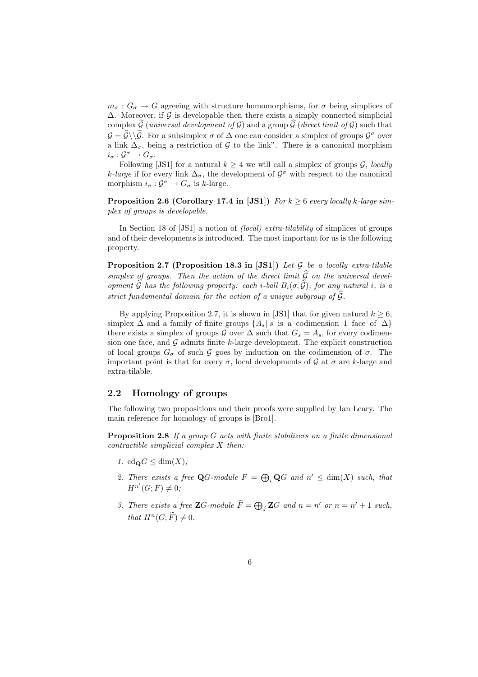$m_{\sigma}: G_{\sigma} \to G$  agreeing with structure homomorphisms, for  $\sigma$  being simplices of  $\Delta$ . Moreover, if G is developable then there exists a simply connected simplicial complex G (universal development of G) and a group  $\widehat{G}$  (direct limit of G) such that  $G = \widehat{G} \setminus \widehat{G}$ . For a subsimplex  $\sigma$  of  $\Delta$  one can consider a simplex of groups  $\mathcal{G}^{\sigma}$  over a link  $\Delta_{\sigma}$ , being a restriction of G to the link". There is a canonical morphism  $i_{\sigma}: \mathcal{G}^{\sigma} \to G_{\sigma}.$ 

Following [JS1] for a natural  $k \geq 4$  we will call a simplex of groups  $\mathcal{G}$ , locally k-large if for every link  $\Delta_{\sigma}$ , the development of  $\mathcal{G}^{\sigma}$  with respect to the canonical morphism  $i_{\sigma}: \mathcal{G}^{\sigma} \to G_{\sigma}$  is k-large.

**Proposition 2.6 (Corollary 17.4 in [JS1])** For  $k \geq 6$  every locally k-large simplex of groups is developable.

In Section 18 of [JS1] a notion of (local) extra-tilability of simplices of groups and of their developments is introduced. The most important for us is the following property.

**Proposition 2.7 (Proposition 18.3 in [JS1])** Let  $G$  be a locally extra-tilable simplex of groups. Then the action of the direct limit  $\widehat{G}$  on the universal development  $\widetilde{\mathcal{G}}$  has the following property: each *i*-ball  $B_i(\sigma, \widetilde{\mathcal{G}})$ , for any natural *i*, is a strict fundamental domain for the action of a unique subgroup of  $\widehat{\mathcal{G}}$ .

By applying Proposition 2.7, it is shown in [JS1] that for given natural  $k \geq 6$ , simplex  $\Delta$  and a family of finite groups  $\{A_s | s$  is a codimension 1 face of  $\Delta\}$ there exists a simplex of groups G over  $\Delta$  such that  $G_s = A_s$ , for every codimension one face, and  $G$  admits finite k-large development. The explicit construction of local groups  $G_{\sigma}$  of such G goes by induction on the codimension of  $\sigma$ . The important point is that for every  $\sigma$ , local developments of  $\mathcal G$  at  $\sigma$  are k-large and extra-tilable.

#### 2.2 Homology of groups

The following two propositions and their proofs were supplied by Ian Leary. The main reference for homology of groups is [Bro1].

Proposition 2.8 If a group G acts with finite stabilizers on a finite dimensional contractible simplicial complex X then:

- 1. cd<sub>Q</sub> $G \leq \dim(X)$ ;
- 2. There exists a free  $\mathbf{Q}$ -module  $F = \bigoplus_i \mathbf{Q}$  and  $n' \leq \dim(X)$  such, that  $H^{n'}(G; F) \neq 0;$
- 3. There exists a free **Z**G-module  $\widetilde{F} = \bigoplus_j \mathbf{Z}G$  and  $n = n'$  or  $n = n' + 1$  such, that  $H^n(G; \widetilde{F}) \neq 0$ .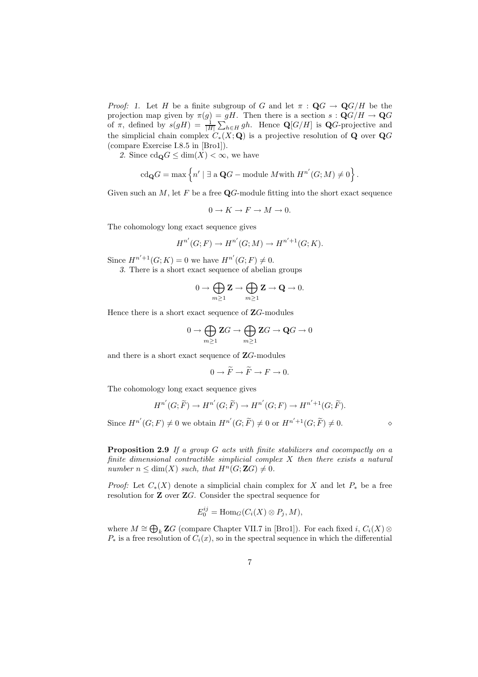*Proof:* 1. Let H be a finite subgroup of G and let  $\pi : \mathbf{Q}G \to \mathbf{Q}G/H$  be the projection map given by  $\pi(g) = gH$ . Then there is a section  $s : \mathbf{Q}G/H \to \mathbf{Q}G$ of  $\pi$ , defined by  $s(gH) = \frac{1}{|H|} \sum_{h \in H} gh$ . Hence  $\mathbf{Q}[G/H]$  is  $\mathbf{Q}G$ -projective and the simplicial chain complex  $C_*(X; \mathbf{Q})$  is a projective resolution of **Q** over  $\mathbf{Q}G$ (compare Exercise I.8.5 in [Bro1]).

2. Since  $\text{cd}_{\mathbf{Q}}G \leq \dim(X) < \infty$ , we have

$$
\operatorname{cd}_{\mathbf{Q}}G=\max\Big\{n'\mid \exists \text{ a }\mathbf{Q}G-\text{module }M\text{with }H^{n'}(G;M)\neq 0\Big\}
$$

Given such an  $M$ , let F be a free  $\mathbf{Q}$ -module fitting into the short exact sequence

 $0 \to K \to F \to M \to 0.$ 

The cohomology long exact sequence gives

$$
H^{n'}(G; F) \to H^{n'}(G; M) \to H^{n'+1}(G; K).
$$

Since  $H^{n'+1}(G; K) = 0$  we have  $H^{n'}(G; F) \neq 0$ .

3. There is a short exact sequence of abelian groups

$$
0\to \bigoplus_{m\geq 1} {\bf Z} \to \bigoplus_{m\geq 1} {\bf Z} \to {\bf Q} \to 0.
$$

Hence there is a short exact sequence of  $\mathbb{Z}G$ -modules

$$
0\to \bigoplus_{m\geq 1} {\bf Z} G\to \bigoplus_{m\geq 1} {\bf Z} G\to {\bf Q} G\to 0
$$

and there is a short exact sequence of ZG-modules

$$
0 \to \widetilde{F} \to \widetilde{F} \to F \to 0.
$$

The cohomology long exact sequence gives

$$
H^{n'}(G;\widetilde{F}) \to H^{n'}(G;\widetilde{F}) \to H^{n'}(G;F) \to H^{n'+1}(G;\widetilde{F}).
$$

Since  $H^{n'}(G; F) \neq 0$  we obtain  $H^{n'}(G; \widetilde{F}) \neq 0$  or  $H^{n'+1}(G; \widetilde{F}) \neq 0$ .

.

Proposition 2.9 If a group G acts with finite stabilizers and cocompactly on a finite dimensional contractible simplicial complex  $X$  then there exists a natural number  $n \leq \dim(X)$  such, that  $H^n(G; \mathbb{Z}G) \neq 0$ .

*Proof:* Let  $C_*(X)$  denote a simplicial chain complex for X and let  $P_*$  be a free resolution for Z over ZG. Consider the spectral sequence for

$$
E_0^{ij} = \text{Hom}_G(C_i(X) \otimes P_j, M),
$$

where  $M \cong \bigoplus_k \mathbf{Z}G$  (compare Chapter VII.7 in [Bro1]). For each fixed  $i, C_i(X) \otimes$  $P_*$  is a free resolution of  $C_i(x)$ , so in the spectral sequence in which the differential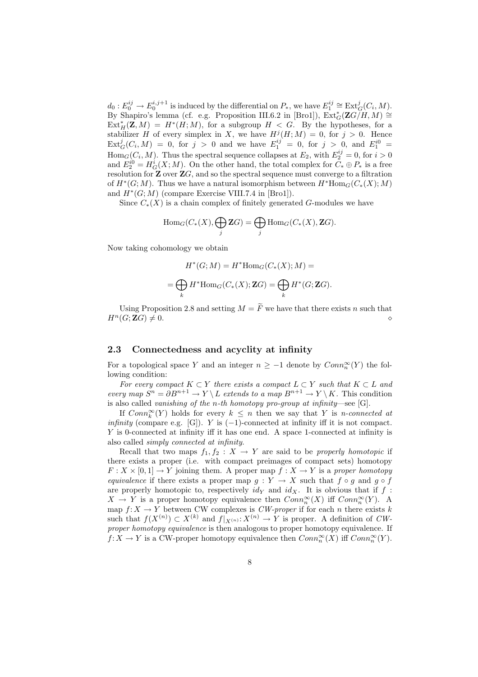$d_0: E_0^{ij} \to E_0^{i,j+1}$  is induced by the differential on  $P_*$ , we have  $E_1^{ij} \cong \text{Ext}_G^j(C_i, M)$ . By Shapiro's lemma (cf. e.g. Proposition III.6.2 in [Bro1]),  $\operatorname{Ext}^*_{G}(\mathbf{Z}G/H, M) \cong$  $\text{Ext}^*_H(\mathbf{Z},M) = H^*(H;M)$ , for a subgroup  $H < G$ . By the hypotheses, for a stabilizer H of every simplex in X, we have  $H^j(H;M) = 0$ , for  $j > 0$ . Hence  $\text{Ext}^{j}_{G}(C_{i},M) = 0$ , for  $j > 0$  and we have  $E^{ij}_{1} = 0$ , for  $j > 0$ , and  $E^{i0}_{1} = 0$  $\text{Hom}_G(C_i, M)$ . Thus the spectral sequence collapses at  $E_2$ , with  $E_2^{ij} = 0$ , for  $i > 0$ and  $E_2^{i0} = H_G^i(X; M)$ . On the other hand, the total complex for  $C_* \oplus P_*$  is a free resolution for  $\mathbf{Z}$  over  $\mathbf{Z}G$ , and so the spectral sequence must converge to a filtration of  $H^*(G;M)$ . Thus we have a natural isomorphism between  $H^*\text{Hom}_G(C_*(X);M)$ and  $H^*(G; M)$  (compare Exercise VIII.7.4 in [Bro1]).

Since  $C_*(X)$  is a chain complex of finitely generated G-modules we have

$$
\mathrm{Hom}_G(C_*(X),\bigoplus_j \mathbf{Z} G)=\bigoplus_j \mathrm{Hom}_G(C_*(X),\mathbf{Z} G).
$$

Now taking cohomology we obtain

$$
H^*(G;M) = H^* \text{Hom}_G(C_*(X);M) =
$$
  
= 
$$
\bigoplus_k H^* \text{Hom}_G(C_*(X); \mathbf{Z}G) = \bigoplus_k H^*(G; \mathbf{Z}G).
$$

Using Proposition 2.8 and setting  $M = \widetilde{F}$  we have that there exists n such that  $H^n(G; \mathbf{Z}G) \neq 0.$ 

#### 2.3 Connectedness and acyclity at infinity

For a topological space Y and an integer  $n \geq -1$  denote by  $Conn_n^{\infty}(Y)$  the following condition:

For every compact  $K \subset Y$  there exists a compact  $L \subset Y$  such that  $K \subset L$  and every map  $S^n = \partial B^{n+1} \to Y \setminus L$  extends to a map  $B^{n+1} \to Y \setminus K$ . This condition is also called vanishing of the n-th homotopy pro-group at infinity—see [G].

If  $Conn_k^{\infty}(Y)$  holds for every  $k \leq n$  then we say that Y is *n*-connected at infinity (compare e.g. [G]). Y is  $(-1)$ -connected at infinity iff it is not compact. Y is 0-connected at infinity iff it has one end. A space 1-connected at infinity is also called simply connected at infinity.

Recall that two maps  $f_1, f_2 : X \to Y$  are said to be properly homotopic if there exists a proper (i.e. with compact preimages of compact sets) homotopy  $F: X \times [0,1] \to Y$  joining them. A proper map  $f: X \to Y$  is a proper homotopy equivalence if there exists a proper map  $g: Y \to X$  such that  $f \circ g$  and  $g \circ f$ are properly homotopic to, respectively  $id_Y$  and  $id_X$ . It is obvious that if f:  $X \to Y$  is a proper homotopy equivalence then  $Conn_n^{\infty}(X)$  iff  $Conn_n^{\infty}(Y)$ . A map  $f: X \to Y$  between CW complexes is *CW-proper* if for each *n* there exists k such that  $f(X^{(n)}) \subset X^{(k)}$  and  $f|_{X^{(n)}}: X^{(n)} \to Y$  is proper. A definition of CWproper homotopy equivalence is then analogous to proper homotopy equivalence. If  $f: X \to Y$  is a CW-proper homotopy equivalence then  $Conn_n^{\infty}(X)$  iff  $Conn_n^{\infty}(Y)$ .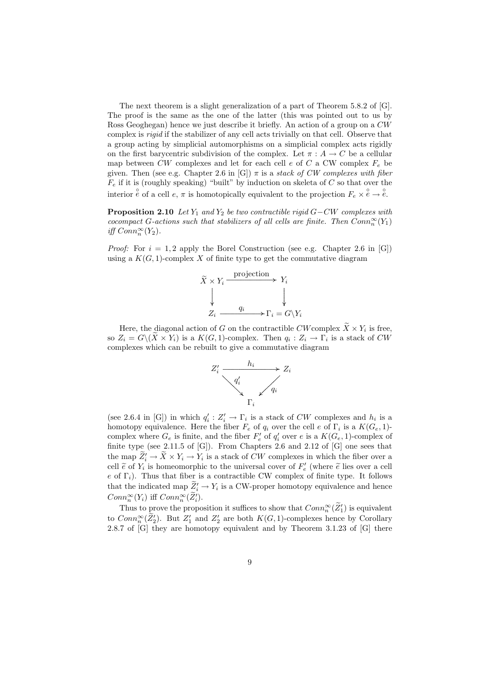The next theorem is a slight generalization of a part of Theorem 5.8.2 of [G]. The proof is the same as the one of the latter (this was pointed out to us by Ross Geoghegan) hence we just describe it briefly. An action of a group on a CW complex is rigid if the stabilizer of any cell acts trivially on that cell. Observe that a group acting by simplicial automorphisms on a simplicial complex acts rigidly on the first barycentric subdivision of the complex. Let  $\pi : A \to C$  be a cellular map between  $CW$  complexes and let for each cell  $e$  of  $C$  a CW complex  $F_e$  be given. Then (see e.g. Chapter 2.6 in [G])  $\pi$  is a *stack of CW complexes with fiber*  $\overline{F}_e$  if it is (roughly speaking) "built" by induction on skeleta of C so that over the interior  $\hat{e}$  of a cell  $e, \pi$  is homotopically equivalent to the projection  $F_e \times \hat{e} \to \hat{e}$ .

**Proposition 2.10** Let  $Y_1$  and  $Y_2$  be two contractible rigid  $G-CW$  complexes with cocompact G-actions such that stabilizers of all cells are finite. Then  $Conn_n^{\infty}(Y_1)$ iff  $Conn_n^{\infty}(Y_2)$ .

*Proof:* For  $i = 1, 2$  apply the Borel Construction (see e.g. Chapter 2.6 in [G]) using a  $K(G, 1)$ -complex X of finite type to get the commutative diagram



Here, the diagonal action of G on the contractible CW complex  $X \times Y_i$  is free, so  $Z_i = G \setminus (X \times Y_i)$  is a  $K(G, 1)$ -complex. Then  $q_i : Z_i \to \Gamma_i$  is a stack of CW complexes which can be rebuilt to give a commutative diagram



(see 2.6.4 in [G]) in which  $q'_i: Z'_i \to \Gamma_i$  is a stack of CW complexes and  $h_i$  is a homotopy equivalence. Here the fiber  $F_e$  of  $q_i$  over the cell  $e$  of  $\Gamma_i$  is a  $K(G_e, 1)$ complex where  $G_e$  is finite, and the fiber  $F'_e$  of  $q'_i$  over e is a  $K(G_e, 1)$ -complex of finite type (see 2.11.5 of  $[G]$ ). From Chapters 2.6 and 2.12 of  $[G]$  one sees that the map  $Z'_i \to X \times Y_i \to Y_i$  is a stack of CW complexes in which the fiber over a cell  $\tilde{e}$  of  $Y_i$  is homeomorphic to the universal cover of  $F'_e$  (where  $\tilde{e}$  lies over a cell e of  $\Gamma_i$ ). Thus that fiber is a contractible CW complex of finite type. It follows that the indicated map  $\mathcal{Z}'_i \to Y_i$  is a CW-proper homotopy equivalence and hence  $Conn_n^{\infty}(Y_i)$  iff  $Conn_n^{\infty}(\widetilde{Z_i}')$ .

Thus to prove the proposition it suffices to show that  $Conn_n^{\infty}(\bar{Z}_1')$  is equivalent to  $Conn_n^{\infty}(Z'_2)$ . But  $Z'_1$  and  $Z'_2$  are both  $K(G, 1)$ -complexes hence by Corollary 2.8.7 of [G] they are homotopy equivalent and by Theorem 3.1.23 of [G] there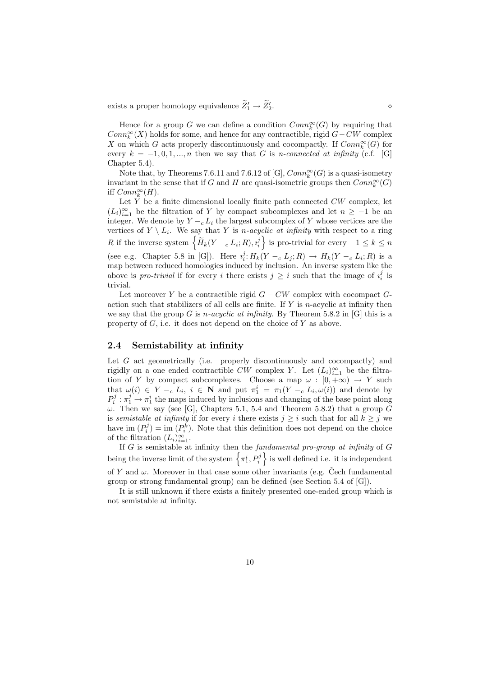exists a proper homotopy equivalence  $\widetilde{Z}'_1 \rightarrow \widetilde{Z}'_2$ 

Hence for a group G we can define a condition  $Conn_{k}^{\infty}(G)$  by requiring that  $Conn_k^{\infty}(X)$  holds for some, and hence for any contractible, rigid  $G-CW$  complex X on which G acts properly discontinuously and cocompactly. If  $Conn_{k}^{\infty}(G)$  for every  $k = -1, 0, 1, ..., n$  then we say that G is n-connected at infinity (c.f. [G] Chapter 5.4).

Note that, by Theorems 7.6.11 and 7.6.12 of [G],  $Conn_k^{\infty}(G)$  is a quasi-isometry invariant in the sense that if G and H are quasi-isometric groups then  $Conn_k^{\infty}(G)$ iff  $Conn_k^{\infty}(H)$ .

Let  $\tilde{Y}$  be a finite dimensional locally finite path connected  $CW$  complex, let  $(L_i)_{i=1}^{\infty}$  be the filtration of Y by compact subcomplexes and let  $n \geq -1$  be an integer. We denote by  $Y - c L_i$  the largest subcomplex of Y whose vertices are the vertices of  $Y \setminus L_i$ . We say that Y is *n*-acyclic at infinity with respect to a ring R if the inverse system  $\left\{ \widetilde{H}_k(Y - c L_i; R), i_i^j \right\}$  is pro-trivial for every  $-1 \leq k \leq n$ (see e.g. Chapter 5.8 in [G]). Here  $i_i^j: H_k(Y -_c L_j; R) \to H_k(Y -_c L_i; R)$  is a map between reduced homologies induced by inclusion. An inverse system like the above is *pro-trivial* if for every i there exists  $j \geq i$  such that the image of  $i_i^j$  is trivial.

Let moreover Y be a contractible rigid  $G - CW$  complex with cocompact  $G$ action such that stabilizers of all cells are finite. If  $Y$  is *n*-acyclic at infinity then we say that the group G is *n*-acyclic at infinity. By Theorem 5.8.2 in [G] this is a property of  $G$ , i.e. it does not depend on the choice of  $Y$  as above.

#### 2.4 Semistability at infinity

Let  $G$  act geometrically (i.e. properly discontinuously and cocompactly) and rigidly on a one ended contractible CW complex Y. Let  $(L_i)_{i=1}^{\infty}$  be the filtration of Y by compact subcomplexes. Choose a map  $\omega : [0, +\infty) \to Y$  such that  $\omega(i) \in Y - c L_i$ ,  $i \in \mathbb{N}$  and put  $\pi_1^i = \pi_1(Y - c L_i, \omega(i))$  and denote by  $P_i^j : \pi_1^j \to \pi_1^i$  the maps induced by inclusions and changing of the base point along  $\omega$ . Then we say (see [G], Chapters 5.1, 5.4 and Theorem 5.8.2) that a group G is semistable at infinity if for every i there exists  $j \geq i$  such that for all  $k \geq j$  we have im  $(P_i^j) = \text{im}(P_i^k)$ . Note that this definition does not depend on the choice of the filtration  $(L_i)_{i=1}^{\infty}$ .

If  $G$  is semistable at infinity then the fundamental pro-group at infinity of  $G$ being the inverse limit of the system  $\left\{\pi^i_1, P^j_i\right\}$  is well defined i.e. it is independent of Y and  $\omega$ . Moreover in that case some other invariants (e.g. Čech fundamental group or strong fundamental group) can be defined (see Section 5.4 of [G]).

It is still unknown if there exists a finitely presented one-ended group which is not semistable at infinity.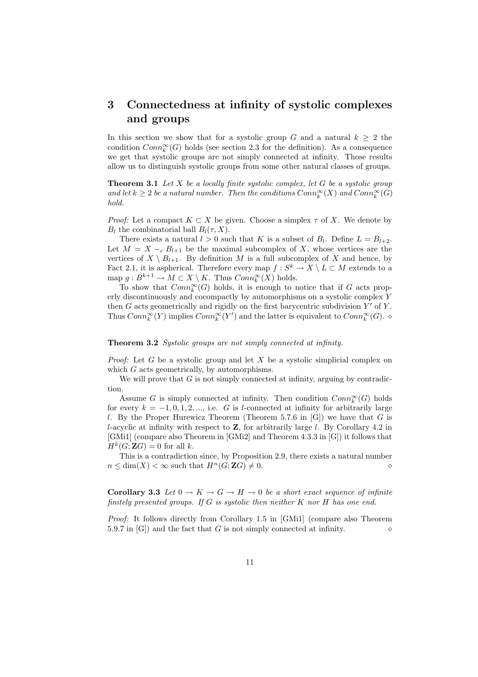# 3 Connectedness at infinity of systolic complexes and groups

In this section we show that for a systolic group G and a natural  $k \geq 2$  the condition  $Conn_k^{\infty}(G)$  holds (see section 2.3 for the definition). As a consequence we get that systolic groups are not simply connected at infinity. Those results allow us to distinguish systolic groups from some other natural classes of groups.

**Theorem 3.1** Let X be a locally finite systolic complex, let G be a systolic group and let  $k \geq 2$  be a natural number. Then the conditions  $Conn_{k}^{\infty}(X)$  and  $Conn_{k}^{\infty}(G)$ hold.

*Proof:* Let a compact  $K \subset X$  be given. Choose a simplex  $\tau$  of X. We denote by  $B_l$  the combinatorial ball  $B_l(\tau, X)$ .

There exists a natural  $l > 0$  such that K is a subset of  $B_l$ . Define  $L = B_{l+2}$ . Let  $M = X - c B_{l+1}$  be the maximal subcomplex of X, whose vertices are the vertices of  $X \setminus B_{l+1}$ . By definition M is a full subcomplex of X and hence, by Fact 2.1, it is aspherical. Therefore every map  $f: S^k \to X \setminus L \subset M$  extends to a map  $g: B^{k+1} \to M \subset X \setminus K$ . Thus  $Conn_k^{\infty}(X)$  holds.

To show that  $Conn_k^{\infty}(G)$  holds, it is enough to notice that if G acts properly discontinuously and cocompactly by automorphisms on a systolic complex Y then  $G$  acts geometrically and rigidly on the first barycentric subdivision  $Y'$  of  $Y$ . Thus  $Conn_k^{\infty}(Y)$  implies  $Conn_k^{\infty}(Y')$  and the latter is equivalent to  $Conn_k^{\infty}(G)$ .  $\diamond$ 

#### Theorem 3.2 Systolic groups are not simply connected at infinity.

*Proof:* Let G be a systolic group and let X be a systolic simplicial complex on which G acts geometrically, by automorphisms.

We will prove that  $G$  is not simply connected at infinity, arguing by contradiction.

Assume G is simply connected at infinity. Then condition  $Conn_k^{\infty}(G)$  holds for every  $k = -1, 0, 1, 2, \dots$ , i.e. G is l-connected at infinity for arbitrarily large l. By the Proper Hurewicz Theorem (Theorem 5.7.6 in  $[G]$ ) we have that G is l-acyclic at infinity with respect to  $Z$ , for arbitrarily large l. By Corollary 4.2 in [GMi1] (compare also Theorem in [GMi2] and Theorem 4.3.3 in [G]) it follows that  $H^k(G; \mathbf{Z}G) = 0$  for all k.

This is a contradiction since, by Proposition 2.9, there exists a natural number n ≤ dim(X) < ∞ such that H<sup>n</sup>(G; ZG) 6= 0. ⋄

Corollary 3.3 Let  $0 \to K \to G \to H \to 0$  be a short exact sequence of infinite finitely presented groups. If  $G$  is systolic then neither  $K$  nor  $H$  has one end.

Proof: It follows directly from Corollary 1.5 in [GMi1] (compare also Theorem 5.9.7 in [G]) and the fact that G is not simply connected at infinity.  $\diamond$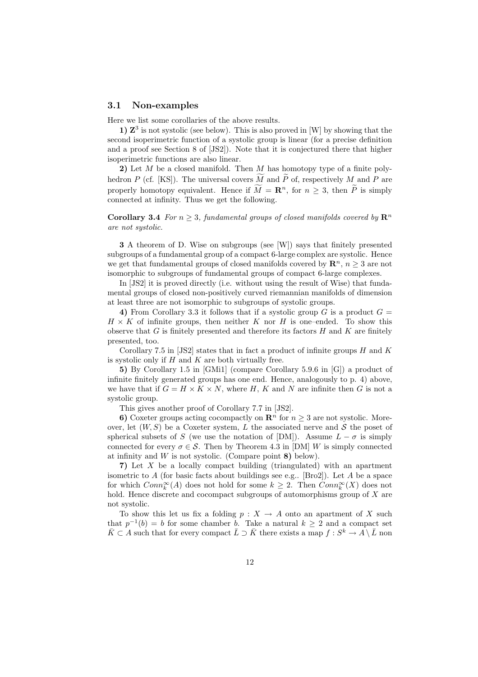#### 3.1 Non-examples

Here we list some corollaries of the above results.

1)  $\mathbb{Z}^3$  is not systolic (see below). This is also proved in [W] by showing that the second isoperimetric function of a systolic group is linear (for a precise definition and a proof see Section 8 of [JS2]). Note that it is conjectured there that higher isoperimetric functions are also linear.

2) Let  $M$  be a closed manifold. Then  $M$  has homotopy type of a finite polyhedron P (cf. [KS]). The universal covers M and P of, respectively M and P are properly homotopy equivalent. Hence if  $\widetilde{M} = \mathbb{R}^n$ , for  $n \geq 3$ , then  $\widetilde{P}$  is simply connected at infinity. Thus we get the following.

**Corollary 3.4** For  $n \geq 3$ , fundamental groups of closed manifolds covered by  $\mathbb{R}^n$ are not systolic.

3 A theorem of D. Wise on subgroups (see [W]) says that finitely presented subgroups of a fundamental group of a compact 6-large complex are systolic. Hence we get that fundamental groups of closed manifolds covered by  $\mathbb{R}^n$ ,  $n \geq 3$  are not isomorphic to subgroups of fundamental groups of compact 6-large complexes.

In [JS2] it is proved directly (i.e. without using the result of Wise) that fundamental groups of closed non-positively curved riemannian manifolds of dimension at least three are not isomorphic to subgroups of systolic groups.

4) From Corollary 3.3 it follows that if a systolic group G is a product  $G =$  $H \times K$  of infinite groups, then neither K nor H is one–ended. To show this observe that  $G$  is finitely presented and therefore its factors  $H$  and  $K$  are finitely presented, too.

Corollary 7.5 in [JS2] states that in fact a product of infinite groups  $H$  and  $K$ is systolic only if  $H$  and  $K$  are both virtually free.

5) By Corollary 1.5 in [GMi1] (compare Corollary 5.9.6 in [G]) a product of infinite finitely generated groups has one end. Hence, analogously to p. 4) above, we have that if  $G = H \times K \times N$ , where H, K and N are infinite then G is not a systolic group.

This gives another proof of Corollary 7.7 in [JS2].

6) Coxeter groups acting cocompactly on  $\mathbb{R}^n$  for  $n \geq 3$  are not systolic. Moreover, let  $(W, S)$  be a Coxeter system, L the associated nerve and S the poset of spherical subsets of S (we use the notation of [DM]). Assume  $L - \sigma$  is simply connected for every  $\sigma \in \mathcal{S}$ . Then by Theorem 4.3 in [DM] W is simply connected at infinity and  $W$  is not systolic. (Compare point  $\bf{8})$  below).

7) Let X be a locally compact building (triangulated) with an apartment isometric to A (for basic facts about buildings see e.g.. [Bro2]). Let A be a space for which  $Conn_k^{\infty}(A)$  does not hold for some  $k \geq 2$ . Then  $Conn_k^{\infty}(X)$  does not hold. Hence discrete and cocompact subgroups of automorphisms group of X are not systolic.

To show this let us fix a folding  $p : X \to A$  onto an apartment of X such that  $p^{-1}(b) = b$  for some chamber b. Take a natural  $k \geq 2$  and a compact set  $\bar{K} \subset A$  such that for every compact  $\bar{L} \supset \bar{K}$  there exists a map  $f : S^k \to A \setminus \bar{L}$  non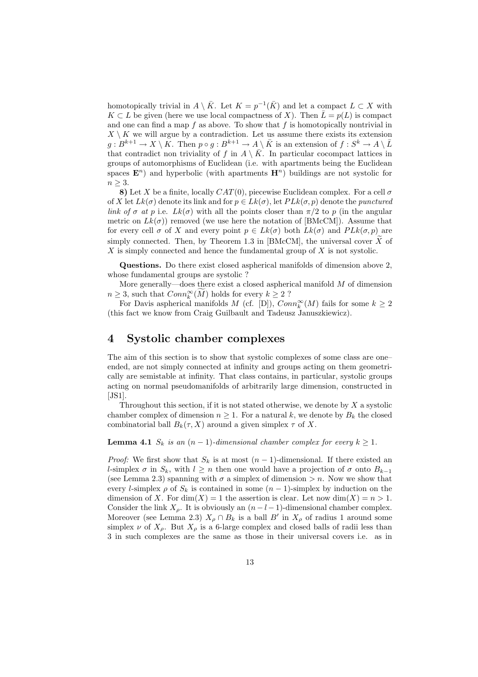homotopically trivial in  $A \setminus \overline{K}$ . Let  $K = p^{-1}(\overline{K})$  and let a compact  $L \subset X$  with  $K \subset L$  be given (here we use local compactness of X). Then  $\overline{L} = p(L)$  is compact and one can find a map  $f$  as above. To show that  $f$  is homotopically nontrivial in  $X \setminus K$  we will argue by a contradiction. Let us assume there exists its extension  $g: B^{k+1} \to X \setminus K$ . Then  $p \circ g: B^{k+1} \to A \setminus \bar{K}$  is an extension of  $f: S^k \to A \setminus \bar{L}$ that contradict non triviality of f in  $A \setminus \overline{K}$ . In particular cocompact lattices in groups of automorphisms of Euclidean (i.e. with apartments being the Euclidean spaces  $\mathbf{E}^n$ ) and hyperbolic (with apartments  $\mathbf{H}^n$ ) buildings are not systolic for  $n \geq 3$ .

8) Let X be a finite, locally  $CAT(0)$ , piecewise Euclidean complex. For a cell  $\sigma$ of X let  $Lk(\sigma)$  denote its link and for  $p \in Lk(\sigma)$ , let  $PLk(\sigma, p)$  denote the *punctured* link of  $\sigma$  at p i.e.  $Lk(\sigma)$  with all the points closer than  $\pi/2$  to p (in the angular metric on  $Lk(\sigma)$  removed (we use here the notation of [BMcCM]). Assume that for every cell  $\sigma$  of X and every point  $p \in L_k(\sigma)$  both  $L_k(\sigma)$  and  $PL_k(\sigma, p)$  are simply connected. Then, by Theorem 1.3 in [BMcCM], the universal cover  $\overline{X}$  of  $X$  is simply connected and hence the fundamental group of  $X$  is not systolic.

Questions. Do there exist closed aspherical manifolds of dimension above 2, whose fundamental groups are systolic ?

More generally—does there exist a closed aspherical manifold  $M$  of dimension  $n \geq 3$ , such that  $Conn_k^{\infty}(M)$  holds for every  $k \geq 2$ ?

For Davis aspherical manifolds M (cf. [D]),  $Conn_k^{\infty}(M)$  fails for some  $k \geq 2$ (this fact we know from Craig Guilbault and Tadeusz Januszkiewicz).

### 4 Systolic chamber complexes

The aim of this section is to show that systolic complexes of some class are one– ended, are not simply connected at infinity and groups acting on them geometrically are semistable at infinity. That class contains, in particular, systolic groups acting on normal pseudomanifolds of arbitrarily large dimension, constructed in  $[JS1]$ .

Throughout this section, if it is not stated otherwise, we denote by  $X$  a systolic chamber complex of dimension  $n \geq 1$ . For a natural k, we denote by  $B_k$  the closed combinatorial ball  $B_k(\tau, X)$  around a given simplex  $\tau$  of X.

**Lemma 4.1**  $S_k$  is an  $(n-1)$ -dimensional chamber complex for every  $k \geq 1$ .

*Proof:* We first show that  $S_k$  is at most  $(n-1)$ -dimensional. If there existed an l-simplex  $\sigma$  in  $S_k$ , with  $l \geq n$  then one would have a projection of  $\sigma$  onto  $B_{k-1}$ (see Lemma 2.3) spanning with  $\sigma$  a simplex of dimension  $>n$ . Now we show that every l-simplex  $\rho$  of  $S_k$  is contained in some  $(n-1)$ -simplex by induction on the dimension of X. For  $\dim(X) = 1$  the assertion is clear. Let now  $\dim(X) = n > 1$ . Consider the link  $X_{\rho}$ . It is obviously an  $(n-l-1)$ -dimensional chamber complex. Moreover (see Lemma 2.3)  $X_{\rho} \cap B_{k}$  is a ball  $B'$  in  $X_{\rho}$  of radius 1 around some simplex  $\nu$  of  $X_{\rho}$ . But  $X_{\rho}$  is a 6-large complex and closed balls of radii less than 3 in such complexes are the same as those in their universal covers i.e. as in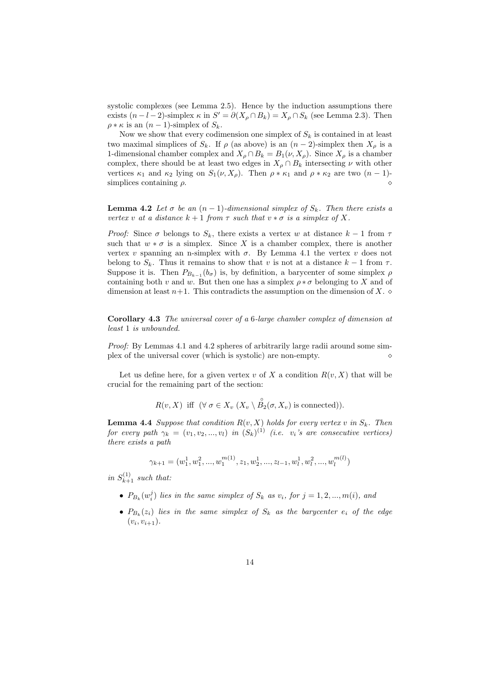systolic complexes (see Lemma 2.5). Hence by the induction assumptions there exists  $(n-l-2)$ -simplex  $\kappa$  in  $S' = \partial(X_\rho \cap B_k) = X_\rho \cap S_k$  (see Lemma 2.3). Then  $\rho * \kappa$  is an  $(n-1)$ -simplex of  $S_k$ .

Now we show that every codimension one simplex of  $S_k$  is contained in at least two maximal simplices of  $S_k$ . If  $\rho$  (as above) is an  $(n-2)$ -simplex then  $X_\rho$  is a 1-dimensional chamber complex and  $X_{\rho} \cap B_{k} = B_{1}(\nu, X_{\rho})$ . Since  $X_{\rho}$  is a chamber complex, there should be at least two edges in  $X_{\rho} \cap B_{k}$  intersecting  $\nu$  with other vertices  $\kappa_1$  and  $\kappa_2$  lying on  $S_1(\nu, X_\rho)$ . Then  $\rho * \kappa_1$  and  $\rho * \kappa_2$  are two  $(n-1)$ simplices containing  $\rho$ .  $\Diamond$ 

**Lemma 4.2** Let  $\sigma$  be an  $(n-1)$ -dimensional simplex of  $S_k$ . Then there exists a vertex v at a distance  $k + 1$  from  $\tau$  such that  $v * \sigma$  is a simplex of X.

Proof: Since  $\sigma$  belongs to  $S_k$ , there exists a vertex w at distance  $k-1$  from  $\tau$ such that  $w * \sigma$  is a simplex. Since X is a chamber complex, there is another vertex v spanning an n-simplex with  $\sigma$ . By Lemma 4.1 the vertex v does not belong to  $S_k$ . Thus it remains to show that v is not at a distance  $k-1$  from  $\tau$ . Suppose it is. Then  $P_{B_{k-1}}(b_{\sigma})$  is, by definition, a barycenter of some simplex  $\rho$ containing both v and w. But then one has a simplex  $\rho * \sigma$  belonging to X and of dimension at least  $n+1$ . This contradicts the assumption on the dimension of X.  $\diamond$ 

Corollary 4.3 The universal cover of a 6-large chamber complex of dimension at least 1 is unbounded.

Proof: By Lemmas 4.1 and 4.2 spheres of arbitrarily large radii around some simplex of the universal cover (which is systolic) are non-empty.

Let us define here, for a given vertex v of X a condition  $R(v, X)$  that will be crucial for the remaining part of the section:

$$
R(v, X) \text{ iff } (\forall \sigma \in X_v \ (X_v \setminus \overset{\circ}{B_2}(\sigma, X_v) \text{ is connected})).
$$

**Lemma 4.4** Suppose that condition  $R(v, X)$  holds for every vertex v in  $S_k$ . Then for every path  $\gamma_k = (v_1, v_2, ..., v_l)$  in  $(S_k)^{(1)}$  (i.e.  $v_i$ 's are consecutive vertices) there exists a path

$$
\gamma_{k+1} = (w_1^1, w_1^2, ..., w_1^{m(1)}, z_1, w_2^1, ..., z_{l-1}, w_l^1, w_l^2, ..., w_l^{m(l)})
$$

in  $S_{k+1}^{(1)}$  such that:

- $P_{B_k}(w_i^j)$  lies in the same simplex of  $S_k$  as  $v_i$ , for  $j = 1, 2, ..., m(i)$ , and
- $P_{B_k}(z_i)$  lies in the same simplex of  $S_k$  as the barycenter  $e_i$  of the edge  $(v_i, v_{i+1}).$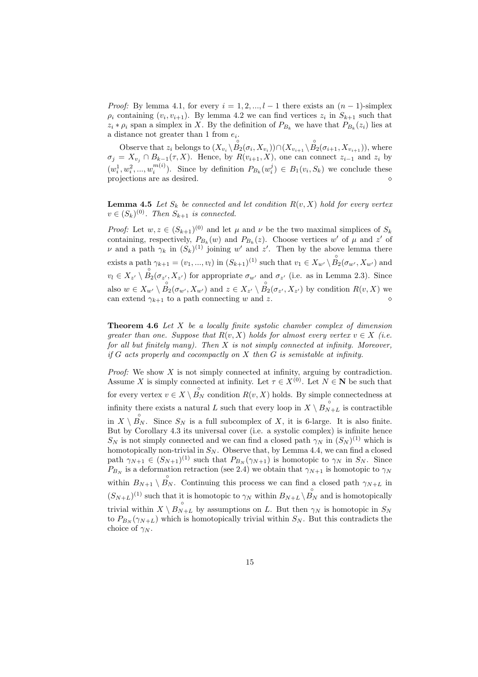*Proof:* By lemma 4.1, for every  $i = 1, 2, ..., l - 1$  there exists an  $(n - 1)$ -simplex  $\rho_i$  containing  $(v_i, v_{i+1})$ . By lemma 4.2 we can find vertices  $z_i$  in  $S_{k+1}$  such that  $z_i * \rho_i$  span a simplex in X. By the definition of  $P_{B_k}$  we have that  $P_{B_k}(z_i)$  lies at a distance not greater than 1 from  $e_i$ .

Observe that  $z_i$  belongs to  $(X_{v_i} \setminus \overset{\circ}{B_2}(\sigma_i, X_{v_i})) \cap (X_{v_{i+1}} \setminus \overset{\circ}{B_2}(\sigma_{i+1}, X_{v_{i+1}})),$  where  $\sigma_j = X_{v_j} \cap B_{k-1}(\tau, X)$ . Hence, by  $R(v_{i+1}, X)$ , one can connect  $z_{i-1}$  and  $z_i$  by  $(w_i^1, w_i^2, ..., w_i^{m(i)})$ . Since by definition  $P_{B_k}(w_i^j) \in B_1(v_i, S_k)$  we conclude these projections are as desired. <br>  $\diamond$ 

**Lemma 4.5** Let  $S_k$  be connected and let condition  $R(v, X)$  hold for every vertex  $v \in (S_k)^{(0)}$ . Then  $S_{k+1}$  is connected.

*Proof:* Let  $w, z \in (S_{k+1})^{(0)}$  and let  $\mu$  and  $\nu$  be the two maximal simplices of  $S_k$ containing, respectively,  $P_{B_k}(w)$  and  $P_{B_k}(z)$ . Choose vertices w' of  $\mu$  and z' of  $\nu$  and a path  $\gamma_k$  in  $(S_k)^{(1)}$  joining w' and z'. Then by the above lemma there exists a path  $\gamma_{k+1} = (v_1, ..., v_l)$  in  $(S_{k+1})^{(1)}$  such that  $v_1 \in X_{w'} \setminus \overset{\circ}{B_2}(\sigma_{w'}, X_{w'})$  and  $v_l \in X_{z'} \setminus \overset{\circ}{B_2}(\sigma_{z'}, X_{z'})$  for appropriate  $\sigma_{w'}$  and  $\sigma_{z'}$  (i.e. as in Lemma 2.3). Since also  $w \in X_{w'} \setminus \overset{\circ}{B}_2(\sigma_{w'}, X_{w'})$  and  $z \in X_{z'} \setminus \overset{\circ}{B}_2(\sigma_{z'}, X_{z'})$  by condition  $R(v, X)$  we can extend γ<sup>k</sup>+1 to a path connecting w and z. ⋄

**Theorem 4.6** Let  $X$  be a locally finite systolic chamber complex of dimension greater than one. Suppose that  $R(v, X)$  holds for almost every vertex  $v \in X$  (i.e. for all but finitely many). Then  $X$  is not simply connected at infinity. Moreover, if  $G$  acts properly and cocompactly on  $X$  then  $G$  is semistable at infinity.

*Proof:* We show  $X$  is not simply connected at infinity, arguing by contradiction. Assume X is simply connected at infinity. Let  $\tau \in X^{(0)}$ . Let  $N \in \mathbb{N}$  be such that for every vertex  $v \in X \setminus \overset{\circ}{B_N}$  condition  $R(v, X)$  holds. By simple connectedness at infinity there exists a natural L such that every loop in  $X \setminus B_{N+L}^{\circ}$  is contractible in  $X \setminus \overset{\circ}{B_N}$ . Since  $S_N$  is a full subcomplex of X, it is 6-large. It is also finite. But by Corollary 4.3 its universal cover (i.e. a systolic complex) is infinite hence  $S_N$  is not simply connected and we can find a closed path  $\gamma_N$  in  $(S_N)^{(1)}$  which is homotopically non-trivial in  $S_N$ . Observe that, by Lemma 4.4, we can find a closed path  $\gamma_{N+1} \in (S_{N+1})^{(1)}$  such that  $P_{B_N}(\gamma_{N+1})$  is homotopic to  $\gamma_N$  in  $S_N$ . Since  $P_{B_N}$  is a deformation retraction (see 2.4) we obtain that  $\gamma_{N+1}$  is homotopic to  $\gamma_N$ within  $B_{N+1} \setminus \overset{\circ}{B_N}$ . Continuing this process we can find a closed path  $\gamma_{N+L}$  in  $(S_{N+L})^{(1)}$  such that it is homotopic to  $\gamma_N$  within  $B_{N+L} \setminus \overset{\circ}{B_N}$  and is homotopically trivial within  $X \setminus B_{N+L}^{\circ}$  by assumptions on L. But then  $\gamma_N$  is homotopic in  $S_N$ to  $P_{B_N}(\gamma_{N+L})$  which is homotopically trivial within  $S_N$ . But this contradicts the choice of  $\gamma_N$ .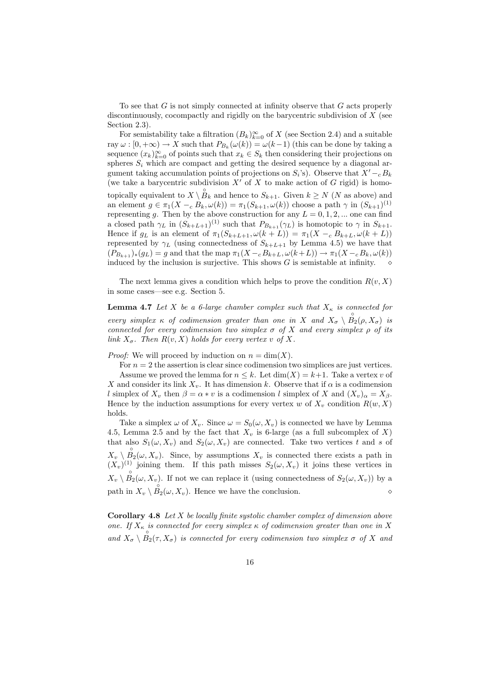To see that  $G$  is not simply connected at infinity observe that  $G$  acts properly discontinuously, cocompactly and rigidly on the barycentric subdivision of  $X$  (see Section 2.3).

For semistability take a filtration  $(B_k)_{k=0}^{\infty}$  of X (see Section 2.4) and a suitable ray  $\omega : [0, +\infty) \to X$  such that  $P_{B_k}(\omega(k)) = \omega(k-1)$  (this can be done by taking a sequence  $(x_k)_{k=0}^{\infty}$  of points such that  $x_k \in S_k$  then considering their projections on spheres  $S_i$  which are compact and getting the desired sequence by a diagonal argument taking accumulation points of projections on  $S_i$ 's). Observe that  $X' - c B_k$ (we take a barycentric subdivision  $X'$  of X to make action of G rigid) is homotopically equivalent to  $X \setminus \overset{\circ}{B_k}$  and hence to  $S_{k+1}$ . Given  $k \ge N$  (N as above) and an element  $g \in \pi_1(X -_{c} B_k, \omega(k)) = \pi_1(S_{k+1}, \omega(k))$  choose a path  $\gamma$  in  $(S_{k+1})^{(1)}$ representing g. Then by the above construction for any  $L = 0, 1, 2, ...$  one can find a closed path  $\gamma_L$  in  $(S_{k+L+1})^{(1)}$  such that  $P_{B_{k+1}}(\gamma_L)$  is homotopic to  $\gamma$  in  $S_{k+1}$ . Hence if  $g_L$  is an element of  $\pi_1(S_{k+L+1}, \omega(k+L)) = \pi_1(X - E_{k+L}, \omega(k+L))$ represented by  $\gamma_L$  (using connectedness of  $S_{k+L+1}$  by Lemma 4.5) we have that  $(P_{B_{k+1}})_{*}(g_L) = g$  and that the map  $\pi_1(X - cB_{k+L}, \omega(k+L)) \to \pi_1(X - cB_k, \omega(k))$ induced by the inclusion is surjective. This shows  $G$  is semistable at infinity.

The next lemma gives a condition which helps to prove the condition  $R(v, X)$ in some cases—see e.g. Section 5.

**Lemma 4.7** Let X be a 6-large chamber complex such that  $X_{\kappa}$  is connected for every simplex  $\kappa$  of codimension greater than one in X and  $X_{\sigma} \setminus \overset{\circ}{B_2}(\rho, X_{\sigma})$  is connected for every codimension two simplex  $\sigma$  of X and every simplex  $\rho$  of its link  $X_{\sigma}$ . Then  $R(v, X)$  holds for every vertex v of X.

*Proof:* We will proceed by induction on  $n = \dim(X)$ .

For  $n = 2$  the assertion is clear since codimension two simplices are just vertices. Assume we proved the lemma for  $n \leq k$ . Let  $\dim(X) = k+1$ . Take a vertex v of X and consider its link  $X_v$ . It has dimension k. Observe that if  $\alpha$  is a codimension l simplex of  $X_v$  then  $\beta = \alpha * v$  is a codimension l simplex of X and  $(X_v)_{\alpha} = X_{\beta}$ . Hence by the induction assumptions for every vertex w of  $X_v$  condition  $R(w, X)$ holds.

Take a simplex  $\omega$  of  $X_v$ . Since  $\omega = S_0(\omega, X_v)$  is connected we have by Lemma 4.5, Lemma 2.5 and by the fact that  $X_v$  is 6-large (as a full subcomplex of X) that also  $S_1(\omega, X_v)$  and  $S_2(\omega, X_v)$  are connected. Take two vertices t and s of  $X_v \setminus \overset{\circ}{B_2}(\omega, X_v)$ . Since, by assumptions  $X_v$  is connected there exists a path in  $(X_v)^{(1)}$  joining them. If this path misses  $S_2(\omega, X_v)$  it joins these vertices in  $X_v \setminus \overset{\circ}{B_2}(\omega, X_v)$ . If not we can replace it (using connectedness of  $S_2(\omega, X_v)$ ) by a path in  $X_v \setminus \overset{\circ}{B_2}(\omega, X_v)$ . Hence we have the conclusion.  $\diamond$ 

**Corollary 4.8** Let  $X$  be locally finite systolic chamber complex of dimension above one. If  $X_{\kappa}$  is connected for every simplex  $\kappa$  of codimension greater than one in X and  $X_{\sigma} \setminus \overset{\circ}{B_2}(\tau, X_{\sigma})$  is connected for every codimension two simplex  $\sigma$  of X and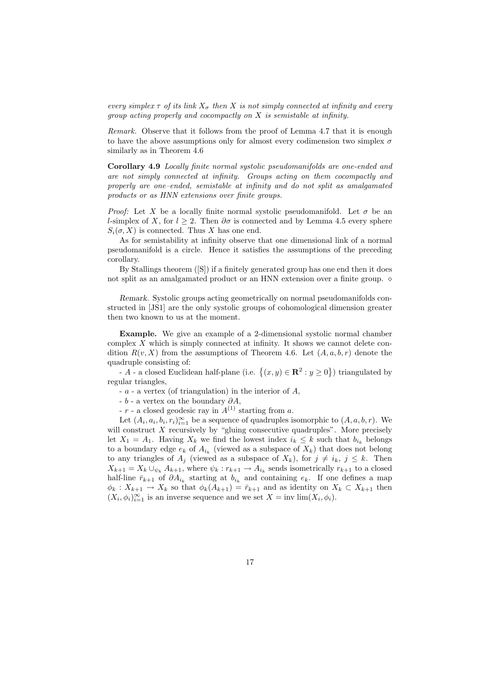every simplex  $\tau$  of its link  $X_{\sigma}$  then X is not simply connected at infinity and every group acting properly and cocompactly on X is semistable at infinity.

Remark. Observe that it follows from the proof of Lemma 4.7 that it is enough to have the above assumptions only for almost every codimension two simplex  $\sigma$ similarly as in Theorem 4.6

Corollary 4.9 Locally finite normal systolic pseudomanifolds are one-ended and are not simply connected at infinity. Groups acting on them cocompactly and properly are one–ended, semistable at infinity and do not split as amalgamated products or as HNN extensions over finite groups.

*Proof:* Let X be a locally finite normal systolic pseudomanifold. Let  $\sigma$  be an l-simplex of X, for  $l > 2$ . Then  $\partial \sigma$  is connected and by Lemma 4.5 every sphere  $S_i(\sigma, X)$  is connected. Thus X has one end.

As for semistability at infinity observe that one dimensional link of a normal pseudomanifold is a circle. Hence it satisfies the assumptions of the preceding corollary.

By Stallings theorem ([S]) if a finitely generated group has one end then it does not split as an amalgamated product or an HNN extension over a finite group.  $\diamond$ 

Remark. Systolic groups acting geometrically on normal pseudomanifolds constructed in [JS1] are the only systolic groups of cohomological dimension greater then two known to us at the moment.

Example. We give an example of a 2-dimensional systolic normal chamber complex  $X$  which is simply connected at infinity. It shows we cannot delete condition  $R(v, X)$  from the assumptions of Theorem 4.6. Let  $(A, a, b, r)$  denote the quadruple consisting of:

- A - a closed Euclidean half-plane (i.e.  $\{(x, y) \in \mathbb{R}^2 : y \ge 0\}$ ) triangulated by regular triangles,

 $-a - a$  vertex (of triangulation) in the interior of  $A$ ,

 $- b - a$  vertex on the boundary  $\partial A$ ,

-  $r$  - a closed geodesic ray in  $A^{(1)}$  starting from a.

Let  $(A_i, a_i, b_i, r_i)_{i=1}^{\infty}$  be a sequence of quadruples isomorphic to  $(A, a, b, r)$ . We will construct  $X$  recursively by "gluing consecutive quadruples". More precisely let  $X_1 = A_1$ . Having  $X_k$  we find the lowest index  $i_k \leq k$  such that  $b_{i_k}$  belongs to a boundary edge  $e_k$  of  $A_{i_k}$  (viewed as a subspace of  $X_k$ ) that does not belong to any triangles of  $A_j$  (viewed as a subspace of  $X_k$ ), for  $j \neq i_k$ ,  $j \leq k$ . Then  $X_{k+1} = X_k \cup_{\psi_k} A_{k+1}$ , where  $\psi_k : r_{k+1} \to A_{i_k}$  sends isometrically  $r_{k+1}$  to a closed half-line  $\bar{r}_{k+1}$  of  $\partial A_{i_k}$  starting at  $b_{i_k}$  and containing  $e_k$ . If one defines a map  $\phi_k : X_{k+1} \to X_k$  so that  $\phi_k(A_{k+1}) = \bar{r}_{k+1}$  and as identity on  $X_k \subset X_{k+1}$  then  $(X_i, \phi_i)_{i=1}^{\infty}$  is an inverse sequence and we set  $X = \text{inv }\text{lim}(X_i, \phi_i)$ .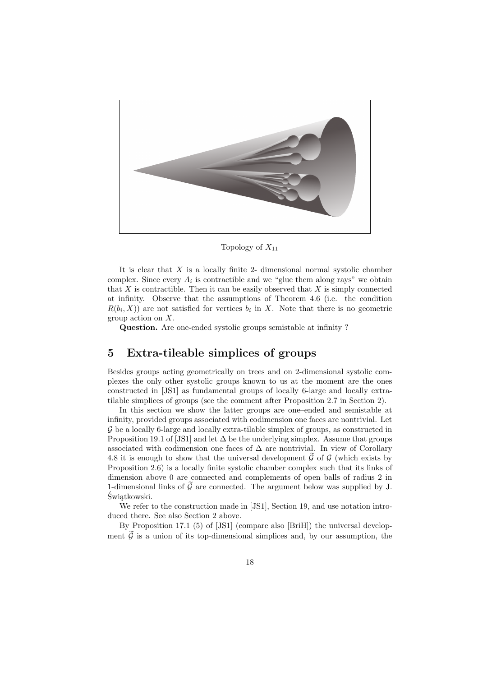

Topology of  $X_{11}$ 

It is clear that  $X$  is a locally finite 2- dimensional normal systolic chamber complex. Since every  $A_i$  is contractible and we "glue them along rays" we obtain that  $X$  is contractible. Then it can be easily observed that  $X$  is simply connected at infinity. Observe that the assumptions of Theorem 4.6 (i.e. the condition  $R(b_i, X)$  are not satisfied for vertices  $b_i$  in X. Note that there is no geometric group action on X.

Question. Are one-ended systolic groups semistable at infinity ?

### 5 Extra-tileable simplices of groups

Besides groups acting geometrically on trees and on 2-dimensional systolic complexes the only other systolic groups known to us at the moment are the ones constructed in [JS1] as fundamental groups of locally 6-large and locally extratilable simplices of groups (see the comment after Proposition 2.7 in Section 2).

In this section we show the latter groups are one–ended and semistable at infinity, provided groups associated with codimension one faces are nontrivial. Let G be a locally 6-large and locally extra-tilable simplex of groups, as constructed in Proposition 19.1 of [JS1] and let  $\Delta$  be the underlying simplex. Assume that groups associated with codimension one faces of  $\Delta$  are nontrivial. In view of Corollary 4.8 it is enough to show that the universal development  $\mathcal G$  of  $\mathcal G$  (which exists by Proposition 2.6) is a locally finite systolic chamber complex such that its links of dimension above 0 are connected and complements of open balls of radius 2 in 1-dimensional links of  $\tilde{\mathcal{G}}$  are connected. The argument below was supplied by J. Świątkowski.

We refer to the construction made in [JS1], Section 19, and use notation introduced there. See also Section 2 above.

By Proposition 17.1 (5) of [JS1] (compare also [BriH]) the universal development  $\tilde{\mathcal{G}}$  is a union of its top-dimensional simplices and, by our assumption, the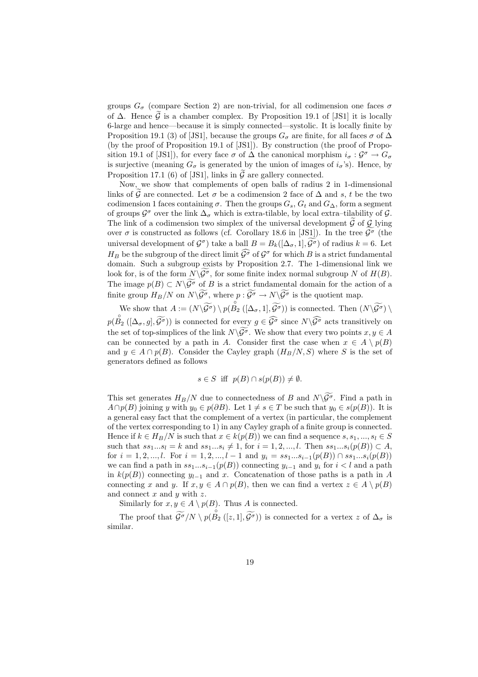groups  $G_{\sigma}$  (compare Section 2) are non-trivial, for all codimension one faces  $\sigma$ of  $\Delta$ . Hence  $\tilde{\mathcal{G}}$  is a chamber complex. By Proposition 19.1 of [JS1] it is locally 6-large and hence—because it is simply connected—systolic. It is locally finite by Proposition 19.1 (3) of [JS1], because the groups  $G_{\sigma}$  are finite, for all faces  $\sigma$  of  $\Delta$ (by the proof of Proposition 19.1 of [JS1]). By construction (the proof of Proposition 19.1 of [JS1]), for every face  $\sigma$  of  $\Delta$  the canonical morphism  $i_{\sigma} : \mathcal{G}^{\sigma} \to G_{\sigma}$ is surjective (meaning  $G_{\sigma}$  is generated by the union of images of  $i_{\sigma}$ 's). Hence, by Proposition 17.1 (6) of [JS1], links in  $\tilde{\mathcal{G}}$  are gallery connected.

Now, we show that complements of open balls of radius 2 in 1-dimensional links of  $\hat{G}$  are connected. Let  $\sigma$  be a codimension 2 face of  $\Delta$  and s, t be the two codimension 1 faces containing  $\sigma$ . Then the groups  $G_s$ ,  $G_t$  and  $G_\Delta$ , form a segment of groups  $\mathcal{G}^{\sigma}$  over the link  $\Delta_{\sigma}$  which is extra-tilable, by local extra-tilability of  $\mathcal{G}$ . The link of a codimension two simplex of the universal development  $\mathcal G$  of  $\mathcal G$  lying over  $\sigma$  is constructed as follows (cf. Corollary 18.6 in [JS1]). In the tree  $\widetilde{\mathcal{G}}^{\sigma}$  (the universal development of  $\mathcal{G}^{\sigma}$  take a ball  $B = B_k([\Delta_{\sigma}, 1], \widetilde{\mathcal{G}}^{\sigma})$  of radius  $k = 6$ . Let  $H_B$  be the subgroup of the direct limit  $\widehat{\mathcal{G}}^{\sigma}$  of  $\mathcal{G}^{\sigma}$  for which B is a strict fundamental domain. Such a subgroup exists by Proposition 2.7. The 1-dimensional link we look for, is of the form  $N\backslash \widetilde{\mathcal{G}}^{\sigma}$ , for some finite index normal subgroup N of  $H(B)$ . The image  $p(B) \subset N \backslash \widetilde{\mathcal{G}}^{\sigma}$  of B is a strict fundamental domain for the action of a finite group  $H_B/N$  on  $N\backslash \widetilde{\mathcal{G}^{\sigma}}$ , where  $p : \widetilde{\mathcal{G}^{\sigma}} \to N\backslash \widetilde{\mathcal{G}^{\sigma}}$  is the quotient map.

We show that  $A := (N \setminus \widetilde{\mathcal{G}^{\sigma}}) \setminus p(\overset{\circ}{B_2}([\Delta_{\sigma}, 1], \widetilde{\mathcal{G}^{\sigma}}))$  is connected. Then  $(N \setminus \widetilde{\mathcal{G}^{\sigma}}) \setminus$  $p(\overset{\circ}{B_2}([\Delta_\sigma,g],\widetilde{\mathcal{G}}^{\sigma}))$  is connected for every  $g\in\widehat{\mathcal{G}^{\sigma}}$  since  $N\backslash\widehat{\mathcal{G}^{\sigma}}$  acts transitively on the set of top-simplices of the link  $N\backslash \widetilde{\mathcal{G}}^{\sigma}$ . We show that every two points  $x, y \in A$ can be connected by a path in A. Consider first the case when  $x \in A \setminus p(B)$ and  $y \in A \cap p(B)$ . Consider the Cayley graph  $(H_B/N, S)$  where S is the set of generators defined as follows

$$
s \in S
$$
 iff  $p(B) \cap s(p(B)) \neq \emptyset$ .

This set generates  $H_B/N$  due to connectedness of B and  $N\backslash \widetilde{\mathcal{G}}^{\sigma}$ . Find a path in  $A \cap p(B)$  joining y with  $y_0 \in p(\partial B)$ . Let  $1 \neq s \in T$  be such that  $y_0 \in s(p(B))$ . It is a general easy fact that the complement of a vertex (in particular, the complement of the vertex corresponding to 1) in any Cayley graph of a finite group is connected. Hence if  $k \in H_B/N$  is such that  $x \in k(p(B))$  we can find a sequence  $s, s_1, ..., s_l \in S$ such that  $ss_1...s_l = k$  and  $ss_1...s_i \neq 1$ , for  $i = 1, 2, ..., l$ . Then  $ss_1...s_i(p(B)) \subset A$ , for  $i = 1, 2, ..., l$ . For  $i = 1, 2, ..., l - 1$  and  $y_i = ss_1...s_{i-1}(p(B)) \cap ss_1...s_i(p(B))$ we can find a path in  $ss_1...s_{i-1}(p(B))$  connecting  $y_{i-1}$  and  $y_i$  for  $i < l$  and a path in  $k(p(B))$  connecting  $y_{l-1}$  and x. Concatenation of those paths is a path in A connecting x and y. If  $x, y \in A \cap p(B)$ , then we can find a vertex  $z \in A \setminus p(B)$ and connect  $x$  and  $y$  with  $z$ .

Similarly for  $x, y \in A \setminus p(B)$ . Thus A is connected.

The proof that  $\widetilde{\mathcal{G}}^{\sigma}/N \setminus p(\overset{\circ}{B_2}([z,1], \widetilde{\mathcal{G}}^{\sigma}))$  is connected for a vertex z of  $\Delta_{\sigma}$  is similar.